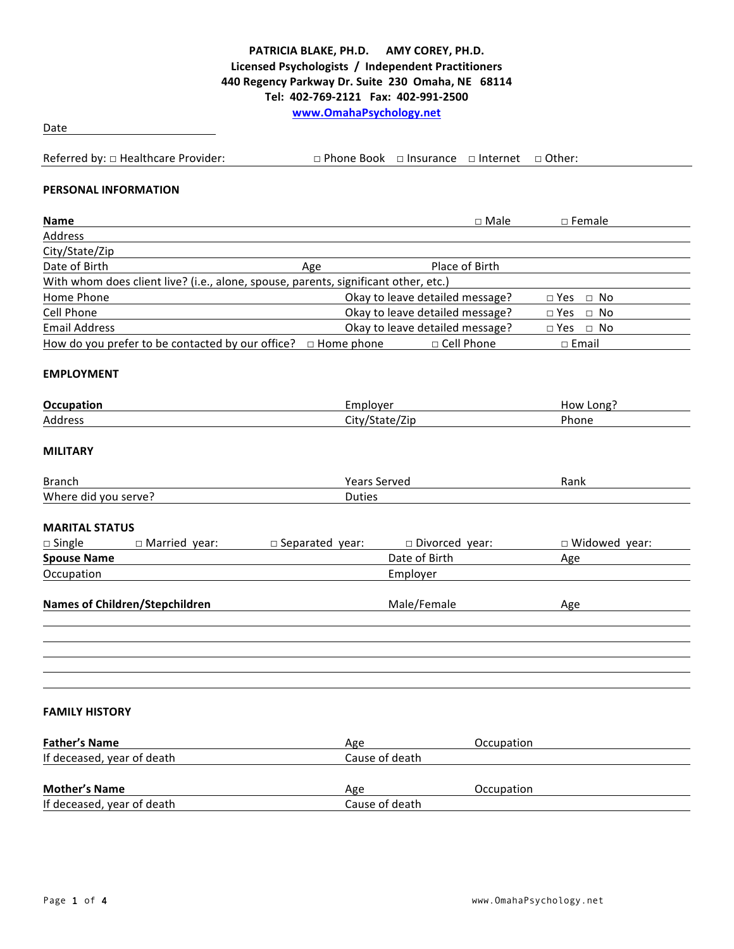## PATRICIA BLAKE, PH.D. AMY COREY, PH.D. **Licensed Psychologists / Independent Practitioners 440 Regency Parkway Dr. Suite 230 Omaha, NE 68114 Tel: 402-769-2121 Fax: 402-991-2500 www.OmahaPsychology.net**

Date

Referred by:  $\Box$  Healthcare Provider:  $\Box$  Phone Book  $\Box$  Insurance  $\Box$  Internet  $\Box$  Other: **PERSONAL INFORMATION Name** □ Male □ Female

| Address                                                                             |     |                                 |                      |  |
|-------------------------------------------------------------------------------------|-----|---------------------------------|----------------------|--|
| City/State/Zip                                                                      |     |                                 |                      |  |
| Date of Birth                                                                       | Age | Place of Birth                  |                      |  |
| With whom does client live? (i.e., alone, spouse, parents, significant other, etc.) |     |                                 |                      |  |
| Home Phone                                                                          |     | Okay to leave detailed message? | $\Box$ Yes $\Box$ No |  |
| Cell Phone                                                                          |     | Okay to leave detailed message? | $\Box$ Yes $\Box$ No |  |
| <b>Email Address</b>                                                                |     | Okay to leave detailed message? | $\Box$ Yes $\Box$ No |  |
| How do you prefer to be contacted by our office? $\Box$ Home phone                  |     | $\Box$ Cell Phone               | $\Box$ Email         |  |

#### **EMPLOYMENT**

| Occup<br>tion | rmnlove" | Long<br>๚กพ<br>пı |
|---------------|----------|-------------------|
| Address       | ∩itv.    | Phone             |
|               |          |                   |

#### **MILITARY**

| Branch                                                        | ,,,,,,<br>erved | Rank |
|---------------------------------------------------------------|-----------------|------|
| Where<br><b>SAMA</b><br>$\sqrt{0}$<br>$^{\prime\prime\prime}$ | Duties          |      |

#### **MARITAL STATUS**

| $\Box$ Single          | □ Married year:                | $\Box$ Separated year: | □ Divorced year: | $\Box$ Widowed year: |
|------------------------|--------------------------------|------------------------|------------------|----------------------|
| <b>Spouse Name</b>     |                                |                        | Date of Birth    | Age                  |
| Occupation<br>Employer |                                |                        |                  |                      |
|                        | Names of Children/Stepchildren |                        | Male/Female      | Age                  |
|                        |                                |                        |                  |                      |

#### **FAMILY HISTORY**

| <b>Father's Name</b>       | Age            | Occupation |  |
|----------------------------|----------------|------------|--|
| If deceased, year of death | Cause of death |            |  |
|                            |                |            |  |
| <b>Mother's Name</b>       | Age            | Occupation |  |
| If deceased, year of death | Cause of death |            |  |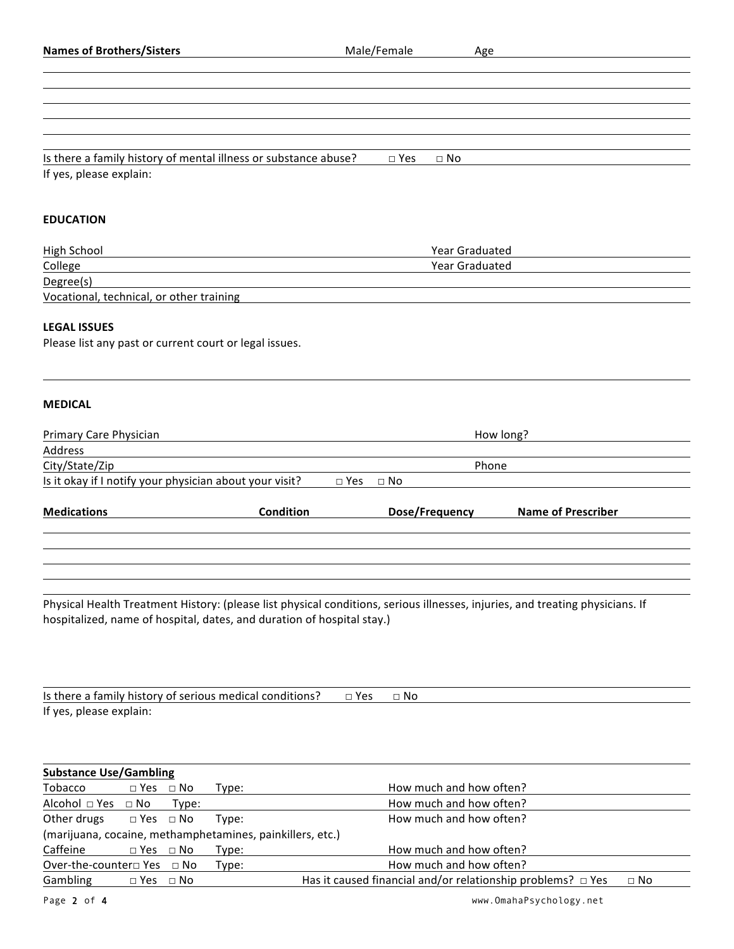| <b>Names of Brothers/Sisters</b>                                                                                                                                                                        |               | Male/Female<br>Age         |                           |
|---------------------------------------------------------------------------------------------------------------------------------------------------------------------------------------------------------|---------------|----------------------------|---------------------------|
|                                                                                                                                                                                                         |               |                            |                           |
|                                                                                                                                                                                                         |               |                            |                           |
| Is there a family history of mental illness or substance abuse?<br>If yes, please explain:                                                                                                              |               | $\square$ Yes<br>$\Box$ No |                           |
| <b>EDUCATION</b>                                                                                                                                                                                        |               |                            |                           |
|                                                                                                                                                                                                         |               | Year Graduated             |                           |
| High School<br>College                                                                                                                                                                                  |               | Year Graduated             |                           |
| Degree(s)                                                                                                                                                                                               |               |                            |                           |
| Vocational, technical, or other training                                                                                                                                                                |               |                            |                           |
| <b>LEGAL ISSUES</b><br>Please list any past or current court or legal issues.                                                                                                                           |               |                            |                           |
| <b>MEDICAL</b>                                                                                                                                                                                          |               |                            |                           |
| <b>Primary Care Physician</b>                                                                                                                                                                           |               |                            | How long?                 |
| Address                                                                                                                                                                                                 |               |                            |                           |
| City/State/Zip<br>Is it okay if I notify your physician about your visit?                                                                                                                               | $\square$ Yes | Phone<br>$\square$ No      |                           |
| <b>Medications</b>                                                                                                                                                                                      | Condition     | Dose/Frequency             | <b>Name of Prescriber</b> |
| Physical Health Treatment History: (please list physical conditions, serious illnesses, injuries, and treating physicians. If<br>hospitalized, name of hospital, dates, and duration of hospital stay.) |               |                            |                           |
|                                                                                                                                                                                                         |               |                            |                           |
| Is there a family history of serious medical conditions?                                                                                                                                                |               | $\square$ Yes<br>$\Box$ No |                           |
| If yes, please explain:                                                                                                                                                                                 |               |                            |                           |
| <b>Substance Use/Gambling</b>                                                                                                                                                                           |               |                            |                           |
| Tobacco<br>$\Box$ Yes $\Box$ No<br>Type:                                                                                                                                                                |               | How much and how often?    |                           |
| Alcohol □ Yes<br>$\Box$ No<br>Type:                                                                                                                                                                     |               | How much and how often?    |                           |
| Other drugs<br>$\square$ Yes<br>$\Box$ No<br>Type:                                                                                                                                                      |               | How much and how often?    |                           |
| (marijuana, cocaine, methamphetamines, painkillers, etc.)                                                                                                                                               |               |                            |                           |
| Caffeine<br>$\Box$ Yes $\Box$ No<br>Type:                                                                                                                                                               |               | How much and how often?    |                           |
| Over-the-counter <sup>□</sup> Yes □ No<br>Type:                                                                                                                                                         |               | How much and how often?    |                           |

Gambling  $\Box$  Yes  $\Box$  No Has it caused financial and/or relationship problems?  $\Box$  Yes  $\Box$  No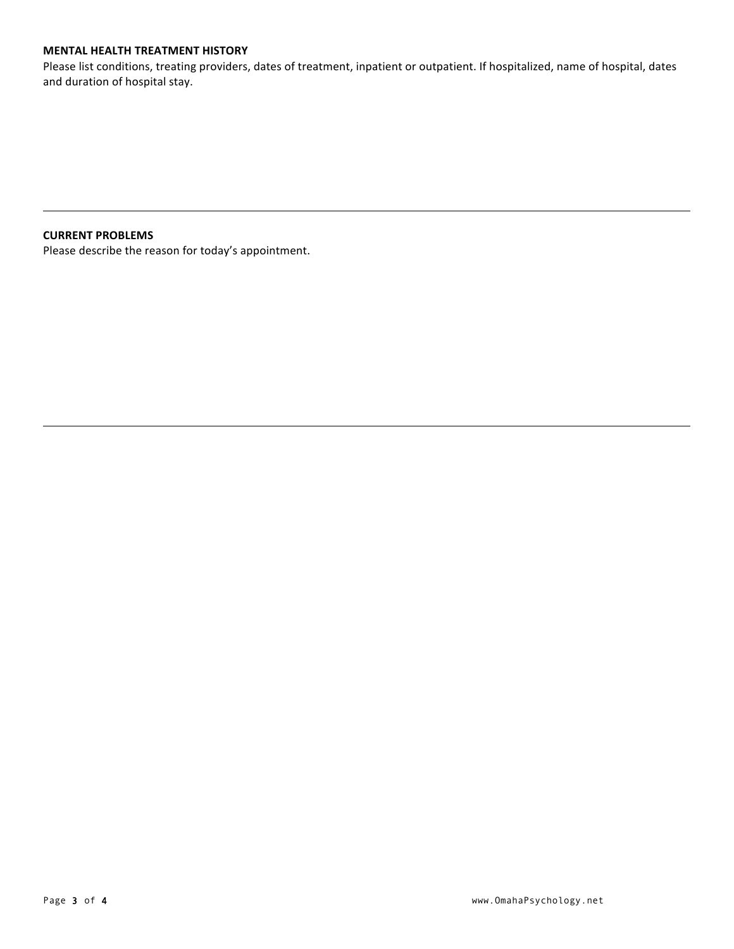#### **MENTAL HEALTH TREATMENT HISTORY**

Please list conditions, treating providers, dates of treatment, inpatient or outpatient. If hospitalized, name of hospital, dates and duration of hospital stay.

#### **CURRENT PROBLEMS**

Please describe the reason for today's appointment.